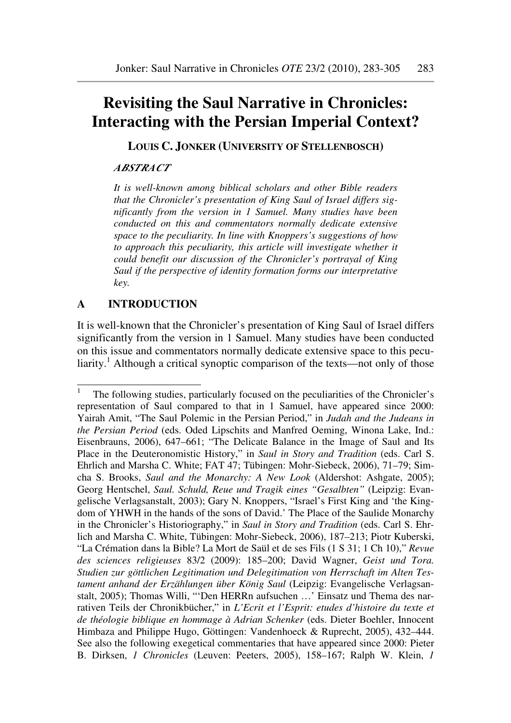# **Revisiting the Saul Narrative in Chronicles: Interacting with the Persian Imperial Context?**

**LOUIS C. JONKER (UNIVERSITY OF STELLENBOSCH)** 

#### *ABSTRACT*

*It is well-known among biblical scholars and other Bible readers that the Chronicler's presentation of King Saul of Israel differs significantly from the version in 1 Samuel. Many studies have been conducted on this and commentators normally dedicate extensive space to the peculiarity. In line with Knoppers's suggestions of how to approach this peculiarity, this article will investigate whether it could benefit our discussion of the Chronicler's portrayal of King Saul if the perspective of identity formation forms our interpretative key.*

# **A INTRODUCTION**

ı

It is well-known that the Chronicler's presentation of King Saul of Israel differs significantly from the version in 1 Samuel. Many studies have been conducted on this issue and commentators normally dedicate extensive space to this peculiarity.<sup>1</sup> Although a critical synoptic comparison of the texts—not only of those

<sup>1</sup> The following studies, particularly focused on the peculiarities of the Chronicler's representation of Saul compared to that in 1 Samuel, have appeared since 2000: Yairah Amit, "The Saul Polemic in the Persian Period," in *Judah and the Judeans in the Persian Period* (eds. Oded Lipschits and Manfred Oeming, Winona Lake, Ind.: Eisenbrauns, 2006), 647–661; "The Delicate Balance in the Image of Saul and Its Place in the Deuteronomistic History," in *Saul in Story and Tradition* (eds. Carl S. Ehrlich and Marsha C. White; FAT 47; Tübingen: Mohr-Siebeck, 2006), 71–79; Simcha S. Brooks, *Saul and the Monarchy: A New Look* (Aldershot: Ashgate, 2005); Georg Hentschel, *Saul. Schuld, Reue und Tragik eines "Gesalbten"* (Leipzig: Evangelische Verlagsanstalt, 2003); Gary N. Knoppers, "Israel's First King and 'the Kingdom of YHWH in the hands of the sons of David.' The Place of the Saulide Monarchy in the Chronicler's Historiography," in *Saul in Story and Tradition* (eds. Carl S. Ehrlich and Marsha C. White, Tübingen: Mohr-Siebeck, 2006), 187–213; Piotr Kuberski, "La Crémation dans la Bible? La Mort de Saül et de ses Fils (1 S 31; 1 Ch 10)," *Revue des sciences religieuses* 83/2 (2009): 185–200; David Wagner, *Geist und Tora. Studien zur göttlichen Legitimation und Delegitimation von Herrschaft im Alten Testament anhand der Erzählungen über König Saul* (Leipzig: Evangelische Verlagsanstalt, 2005); Thomas Willi, "'Den HERRn aufsuchen …' Einsatz und Thema des narrativen Teils der Chronikbücher," in *L'Ecrit et l'Esprit: etudes d'histoire du texte et de théologie biblique en hommage à Adrian Schenker* (eds. Dieter Boehler, Innocent Himbaza and Philippe Hugo, Göttingen: Vandenhoeck & Ruprecht, 2005), 432–444. See also the following exegetical commentaries that have appeared since 2000: Pieter B. Dirksen, *1 Chronicles* (Leuven: Peeters, 2005), 158–167; Ralph W. Klein, *1*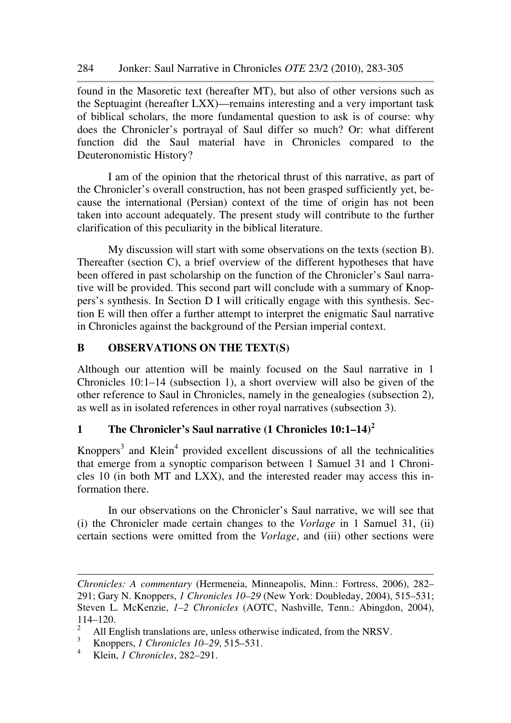found in the Masoretic text (hereafter MT), but also of other versions such as the Septuagint (hereafter LXX)—remains interesting and a very important task of biblical scholars, the more fundamental question to ask is of course: why does the Chronicler's portrayal of Saul differ so much? Or: what different function did the Saul material have in Chronicles compared to the Deuteronomistic History?

I am of the opinion that the rhetorical thrust of this narrative, as part of the Chronicler's overall construction, has not been grasped sufficiently yet, because the international (Persian) context of the time of origin has not been taken into account adequately. The present study will contribute to the further clarification of this peculiarity in the biblical literature.

My discussion will start with some observations on the texts (section B). Thereafter (section C), a brief overview of the different hypotheses that have been offered in past scholarship on the function of the Chronicler's Saul narrative will be provided. This second part will conclude with a summary of Knoppers's synthesis. In Section D I will critically engage with this synthesis. Section E will then offer a further attempt to interpret the enigmatic Saul narrative in Chronicles against the background of the Persian imperial context.

# **B OBSERVATIONS ON THE TEXT(S)**

Although our attention will be mainly focused on the Saul narrative in 1 Chronicles 10:1–14 (subsection 1), a short overview will also be given of the other reference to Saul in Chronicles, namely in the genealogies (subsection 2), as well as in isolated references in other royal narratives (subsection 3).

# **1 The Chronicler's Saul narrative (1 Chronicles 10:1–14)<sup>2</sup>**

Knoppers<sup>3</sup> and Klein<sup>4</sup> provided excellent discussions of all the technicalities that emerge from a synoptic comparison between 1 Samuel 31 and 1 Chronicles 10 (in both MT and LXX), and the interested reader may access this information there.

In our observations on the Chronicler's Saul narrative, we will see that (i) the Chronicler made certain changes to the *Vorlage* in 1 Samuel 31, (ii) certain sections were omitted from the *Vorlage*, and (iii) other sections were

ı

*Chronicles: A commentary* (Hermeneia, Minneapolis, Minn.: Fortress, 2006), 282– 291; Gary N. Knoppers, *1 Chronicles 10–29* (New York: Doubleday, 2004), 515–531; Steven L. McKenzie, *1–2 Chronicles* (AOTC, Nashville, Tenn.: Abingdon, 2004), 114–120.

 $\mathfrak{D}$ All English translations are, unless otherwise indicated, from the NRSV.

<sup>3</sup> Knoppers, *1 Chronicles 10–29*, 515–531.

<sup>4</sup> Klein, *1 Chronicles*, 282–291.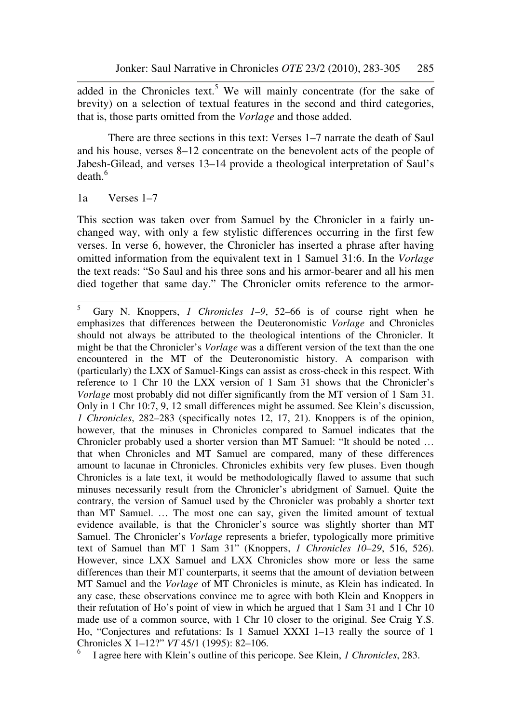added in the Chronicles text.<sup>5</sup> We will mainly concentrate (for the sake of brevity) on a selection of textual features in the second and third categories, that is, those parts omitted from the *Vorlage* and those added.

There are three sections in this text: Verses 1–7 narrate the death of Saul and his house, verses 8–12 concentrate on the benevolent acts of the people of Jabesh-Gilead, and verses 13–14 provide a theological interpretation of Saul's  $death.<sup>6</sup>$ 

1a Verses 1–7

l

This section was taken over from Samuel by the Chronicler in a fairly unchanged way, with only a few stylistic differences occurring in the first few verses. In verse 6, however, the Chronicler has inserted a phrase after having omitted information from the equivalent text in 1 Samuel 31:6. In the *Vorlage*  the text reads: "So Saul and his three sons and his armor-bearer and all his men died together that same day." The Chronicler omits reference to the armor-

<sup>5</sup> Gary N. Knoppers, *1 Chronicles 1–9*, 52–66 is of course right when he emphasizes that differences between the Deuteronomistic *Vorlage* and Chronicles should not always be attributed to the theological intentions of the Chronicler. It might be that the Chronicler's *Vorlage* was a different version of the text than the one encountered in the MT of the Deuteronomistic history. A comparison with (particularly) the LXX of Samuel-Kings can assist as cross-check in this respect. With reference to 1 Chr 10 the LXX version of 1 Sam 31 shows that the Chronicler's *Vorlage* most probably did not differ significantly from the MT version of 1 Sam 31. Only in 1 Chr 10:7, 9, 12 small differences might be assumed. See Klein's discussion, *1 Chronicles*, 282–283 (specifically notes 12, 17, 21). Knoppers is of the opinion, however, that the minuses in Chronicles compared to Samuel indicates that the Chronicler probably used a shorter version than MT Samuel: "It should be noted … that when Chronicles and MT Samuel are compared, many of these differences amount to lacunae in Chronicles. Chronicles exhibits very few pluses. Even though Chronicles is a late text, it would be methodologically flawed to assume that such minuses necessarily result from the Chronicler's abridgment of Samuel. Quite the contrary, the version of Samuel used by the Chronicler was probably a shorter text than MT Samuel. … The most one can say, given the limited amount of textual evidence available, is that the Chronicler's source was slightly shorter than MT Samuel. The Chronicler's *Vorlage* represents a briefer, typologically more primitive text of Samuel than MT 1 Sam 31" (Knoppers, *1 Chronicles 10–29*, 516, 526). However, since LXX Samuel and LXX Chronicles show more or less the same differences than their MT counterparts, it seems that the amount of deviation between MT Samuel and the *Vorlage* of MT Chronicles is minute, as Klein has indicated. In any case, these observations convince me to agree with both Klein and Knoppers in their refutation of Ho's point of view in which he argued that 1 Sam 31 and 1 Chr 10 made use of a common source, with 1 Chr 10 closer to the original. See Craig Y.S. Ho, "Conjectures and refutations: Is 1 Samuel XXXI 1–13 really the source of 1 Chronicles X 1–12?" *VT* 45/1 (1995): 82–106.

<sup>6</sup> I agree here with Klein's outline of this pericope. See Klein, *1 Chronicles*, 283.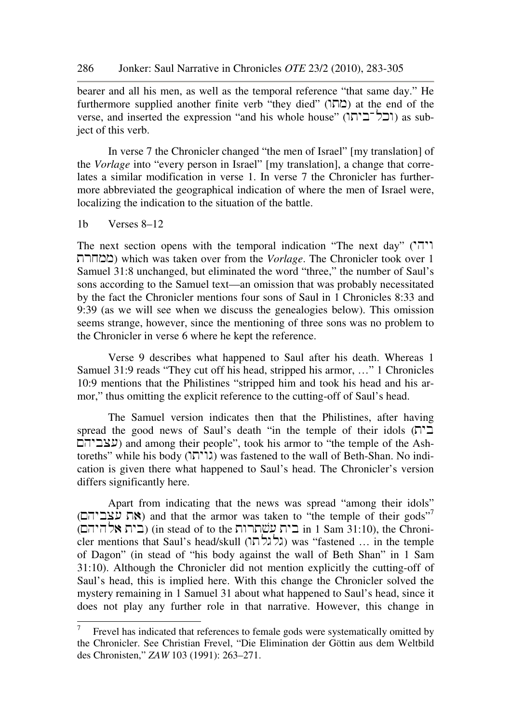bearer and all his men, as well as the temporal reference "that same day." He furthermore supplied another finite verb "they died" (מהו) at the end of the verse, and inserted the expression "and his whole house" (ובל־ביחו) as subject of this verb.

In verse 7 the Chronicler changed "the men of Israel" [my translation] of the *Vorlage* into "every person in Israel" [my translation], a change that correlates a similar modification in verse 1. In verse 7 the Chronicler has furthermore abbreviated the geographical indication of where the men of Israel were, localizing the indication to the situation of the battle.

1b Verses 8–12

l

The next section opens with the temporal indication "The next day" ( $'$ trxmm) which was taken over from the *Vorlage*. The Chronicler took over 1 Samuel 31:8 unchanged, but eliminated the word "three," the number of Saul's sons according to the Samuel text—an omission that was probably necessitated by the fact the Chronicler mentions four sons of Saul in 1 Chronicles 8:33 and 9:39 (as we will see when we discuss the genealogies below). This omission seems strange, however, since the mentioning of three sons was no problem to the Chronicler in verse 6 where he kept the reference.

Verse 9 describes what happened to Saul after his death. Whereas 1 Samuel 31:9 reads "They cut off his head, stripped his armor, …" 1 Chronicles 10:9 mentions that the Philistines "stripped him and took his head and his armor," thus omitting the explicit reference to the cutting-off of Saul's head.

The Samuel version indicates then that the Philistines, after having spread the good news of Saul's death "in the temple of their idols  $(T<sup>T</sup>)$ שביהם) and among their people", took his armor to "the temple of the Ashtoreths" while his body (גו'רא) was fastened to the wall of Beth-Shan. No indication is given there what happened to Saul's head. The Chronicler's version differs significantly here.

Apart from indicating that the news was spread "among their idols" (את עצביהם) and that the armor was taken to "the temple of their gods"<sup>7</sup> (בית אלהיהם) (in stead of to the בית עשתרות  $\pm$  1 Sam 31:10), the Chronicler mentions that Saul's head/skull (גלגלתו) was "fastened … in the temple of Dagon" (in stead of "his body against the wall of Beth Shan" in 1 Sam 31:10). Although the Chronicler did not mention explicitly the cutting-off of Saul's head, this is implied here. With this change the Chronicler solved the mystery remaining in 1 Samuel 31 about what happened to Saul's head, since it does not play any further role in that narrative. However, this change in

<sup>7</sup> Frevel has indicated that references to female gods were systematically omitted by the Chronicler. See Christian Frevel, "Die Elimination der Göttin aus dem Weltbild des Chronisten," *ZAW* 103 (1991): 263–271.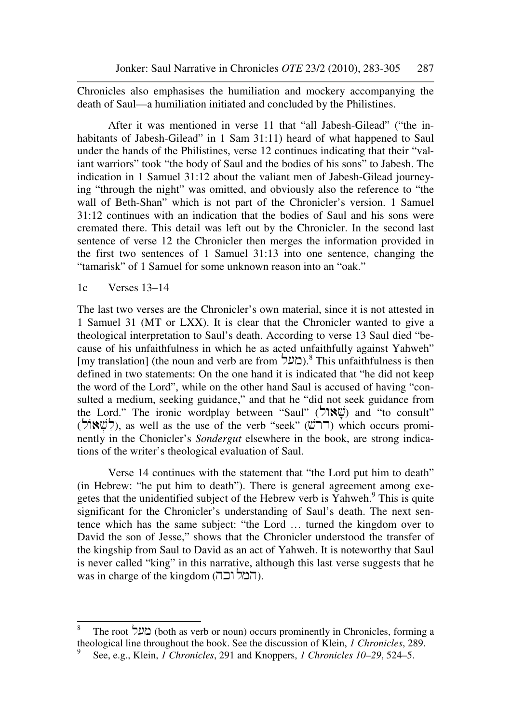Chronicles also emphasises the humiliation and mockery accompanying the death of Saul—a humiliation initiated and concluded by the Philistines.

After it was mentioned in verse 11 that "all Jabesh-Gilead" ("the inhabitants of Jabesh-Gilead" in 1 Sam 31:11) heard of what happened to Saul under the hands of the Philistines, verse 12 continues indicating that their "valiant warriors" took "the body of Saul and the bodies of his sons" to Jabesh. The indication in 1 Samuel 31:12 about the valiant men of Jabesh-Gilead journeying "through the night" was omitted, and obviously also the reference to "the wall of Beth-Shan" which is not part of the Chronicler's version. 1 Samuel 31:12 continues with an indication that the bodies of Saul and his sons were cremated there. This detail was left out by the Chronicler. In the second last sentence of verse 12 the Chronicler then merges the information provided in the first two sentences of 1 Samuel 31:13 into one sentence, changing the "tamarisk" of 1 Samuel for some unknown reason into an "oak."

# 1c Verses 13–14

l

The last two verses are the Chronicler's own material, since it is not attested in 1 Samuel 31 (MT or LXX). It is clear that the Chronicler wanted to give a theological interpretation to Saul's death. According to verse 13 Saul died "because of his unfaithfulness in which he as acted unfaithfully against Yahweh" [my translation] (the noun and verb are from  $\sim$ (מעל).<sup>8</sup> This unfaithfulness is then defined in two statements: On the one hand it is indicated that "he did not keep the word of the Lord", while on the other hand Saul is accused of having "consulted a medium, seeking guidance," and that he "did not seek guidance from the Lord." The ironic wordplay between "Saul" (שֵׁאוֹל) and "to consult" (לשאוֹל), as well as the use of the verb "seek" ( $\ddot{\text{C}}$ לל") which occurs prominently in the Chonicler's *Sondergut* elsewhere in the book, are strong indications of the writer's theological evaluation of Saul.

Verse 14 continues with the statement that "the Lord put him to death" (in Hebrew: "he put him to death"). There is general agreement among exegetes that the unidentified subject of the Hebrew verb is Yahweh.<sup>9</sup> This is quite significant for the Chronicler's understanding of Saul's death. The next sentence which has the same subject: "the Lord … turned the kingdom over to David the son of Jesse," shows that the Chronicler understood the transfer of the kingship from Saul to David as an act of Yahweh. It is noteworthy that Saul is never called "king" in this narrative, although this last verse suggests that he was in charge of the kingdom (המלוכה).

<sup>8</sup> The root **בעל** (both as verb or noun) occurs prominently in Chronicles, forming a theological line throughout the book. See the discussion of Klein, *1 Chronicles*, 289.

<sup>9</sup> See, e.g., Klein, *1 Chronicles*, 291 and Knoppers, *1 Chronicles 10–29*, 524–5.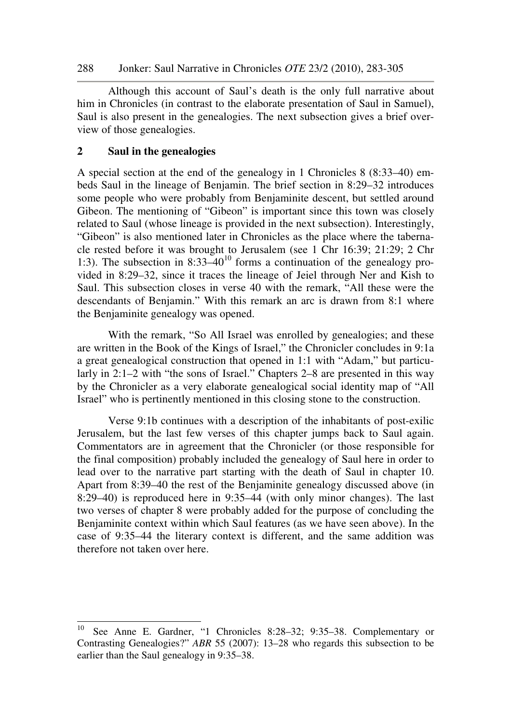Although this account of Saul's death is the only full narrative about him in Chronicles (in contrast to the elaborate presentation of Saul in Samuel), Saul is also present in the genealogies. The next subsection gives a brief overview of those genealogies.

## **2 Saul in the genealogies**

l

A special section at the end of the genealogy in 1 Chronicles 8 (8:33–40) embeds Saul in the lineage of Benjamin. The brief section in 8:29–32 introduces some people who were probably from Benjaminite descent, but settled around Gibeon. The mentioning of "Gibeon" is important since this town was closely related to Saul (whose lineage is provided in the next subsection). Interestingly, "Gibeon" is also mentioned later in Chronicles as the place where the tabernacle rested before it was brought to Jerusalem (see 1 Chr 16:39; 21:29; 2 Chr 1:3). The subsection in  $8:33-40^{10}$  forms a continuation of the genealogy provided in 8:29–32, since it traces the lineage of Jeiel through Ner and Kish to Saul. This subsection closes in verse 40 with the remark, "All these were the descendants of Benjamin." With this remark an arc is drawn from 8:1 where the Benjaminite genealogy was opened.

With the remark, "So All Israel was enrolled by genealogies; and these are written in the Book of the Kings of Israel," the Chronicler concludes in 9:1a a great genealogical construction that opened in 1:1 with "Adam," but particularly in 2:1–2 with "the sons of Israel." Chapters 2–8 are presented in this way by the Chronicler as a very elaborate genealogical social identity map of "All Israel" who is pertinently mentioned in this closing stone to the construction.

Verse 9:1b continues with a description of the inhabitants of post-exilic Jerusalem, but the last few verses of this chapter jumps back to Saul again. Commentators are in agreement that the Chronicler (or those responsible for the final composition) probably included the genealogy of Saul here in order to lead over to the narrative part starting with the death of Saul in chapter 10. Apart from 8:39–40 the rest of the Benjaminite genealogy discussed above (in 8:29–40) is reproduced here in 9:35–44 (with only minor changes). The last two verses of chapter 8 were probably added for the purpose of concluding the Benjaminite context within which Saul features (as we have seen above). In the case of 9:35–44 the literary context is different, and the same addition was therefore not taken over here.

<sup>10</sup> See Anne E. Gardner, "1 Chronicles 8:28–32; 9:35–38. Complementary or Contrasting Genealogies?" *ABR* 55 (2007): 13–28 who regards this subsection to be earlier than the Saul genealogy in 9:35–38.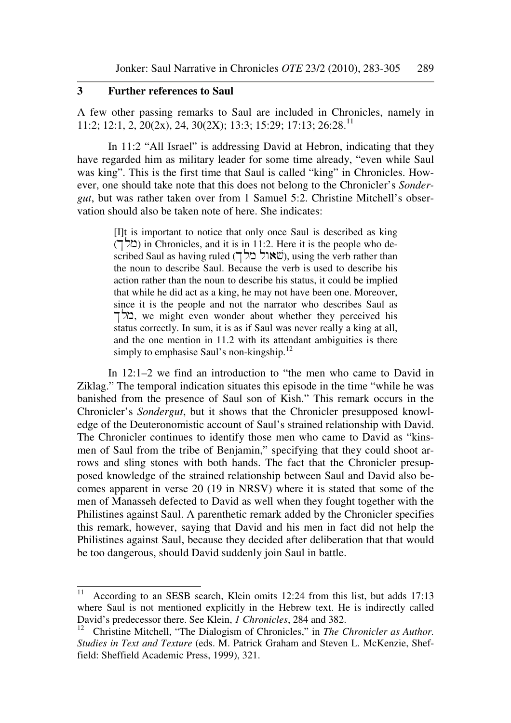### **3 Further references to Saul**

A few other passing remarks to Saul are included in Chronicles, namely in 11:2; 12:1, 2, 20(2x), 24, 30(2X); 13:3; 15:29; 17:13; 26:28.<sup>11</sup>

In 11:2 "All Israel" is addressing David at Hebron, indicating that they have regarded him as military leader for some time already, "even while Saul was king". This is the first time that Saul is called "king" in Chronicles. However, one should take note that this does not belong to the Chronicler's *Sondergut*, but was rather taken over from 1 Samuel 5:2. Christine Mitchell's observation should also be taken note of here. She indicates:

> [I]t is important to notice that only once Saul is described as king  $(T \trianglerighteq)$  in Chronicles, and it is in 11:2. Here it is the people who de $s$ cribed Saul as having ruled (שׂאול מלך), using the verb rather than the noun to describe Saul. Because the verb is used to describe his action rather than the noun to describe his status, it could be implied that while he did act as a king, he may not have been one. Moreover, since it is the people and not the narrator who describes Saul as  $\Sigma$ . we might even wonder about whether they perceived his status correctly. In sum, it is as if Saul was never really a king at all, and the one mention in 11.2 with its attendant ambiguities is there simply to emphasise Saul's non-kingship. $^{12}$

In 12:1–2 we find an introduction to "the men who came to David in Ziklag." The temporal indication situates this episode in the time "while he was banished from the presence of Saul son of Kish." This remark occurs in the Chronicler's *Sondergut*, but it shows that the Chronicler presupposed knowledge of the Deuteronomistic account of Saul's strained relationship with David. The Chronicler continues to identify those men who came to David as "kinsmen of Saul from the tribe of Benjamin," specifying that they could shoot arrows and sling stones with both hands. The fact that the Chronicler presupposed knowledge of the strained relationship between Saul and David also becomes apparent in verse 20 (19 in NRSV) where it is stated that some of the men of Manasseh defected to David as well when they fought together with the Philistines against Saul. A parenthetic remark added by the Chronicler specifies this remark, however, saying that David and his men in fact did not help the Philistines against Saul, because they decided after deliberation that that would be too dangerous, should David suddenly join Saul in battle.

 $11$ According to an SESB search, Klein omits 12:24 from this list, but adds 17:13 where Saul is not mentioned explicitly in the Hebrew text. He is indirectly called David's predecessor there. See Klein, *1 Chronicles*, 284 and 382.<br><sup>12</sup> Christine Mitchell "The Dialogism of Chronicles" in The C

<sup>12</sup> Christine Mitchell, "The Dialogism of Chronicles," in *The Chronicler as Author. Studies in Text and Texture* (eds. M. Patrick Graham and Steven L. McKenzie, Sheffield: Sheffield Academic Press, 1999), 321.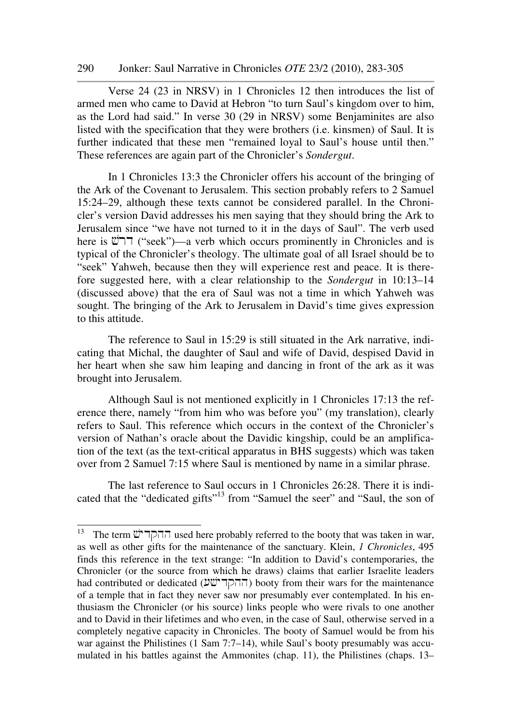Verse 24 (23 in NRSV) in 1 Chronicles 12 then introduces the list of armed men who came to David at Hebron "to turn Saul's kingdom over to him, as the Lord had said." In verse 30 (29 in NRSV) some Benjaminites are also listed with the specification that they were brothers (i.e. kinsmen) of Saul. It is further indicated that these men "remained loyal to Saul's house until then." These references are again part of the Chronicler's *Sondergut*.

In 1 Chronicles 13:3 the Chronicler offers his account of the bringing of the Ark of the Covenant to Jerusalem. This section probably refers to 2 Samuel 15:24–29, although these texts cannot be considered parallel. In the Chronicler's version David addresses his men saying that they should bring the Ark to Jerusalem since "we have not turned to it in the days of Saul". The verb used here is  $\mathbb{C}$  ("seek")—a verb which occurs prominently in Chronicles and is typical of the Chronicler's theology. The ultimate goal of all Israel should be to "seek" Yahweh, because then they will experience rest and peace. It is therefore suggested here, with a clear relationship to the *Sondergut* in 10:13–14 (discussed above) that the era of Saul was not a time in which Yahweh was sought. The bringing of the Ark to Jerusalem in David's time gives expression to this attitude.

The reference to Saul in 15:29 is still situated in the Ark narrative, indicating that Michal, the daughter of Saul and wife of David, despised David in her heart when she saw him leaping and dancing in front of the ark as it was brought into Jerusalem.

Although Saul is not mentioned explicitly in 1 Chronicles 17:13 the reference there, namely "from him who was before you" (my translation), clearly refers to Saul. This reference which occurs in the context of the Chronicler's version of Nathan's oracle about the Davidic kingship, could be an amplification of the text (as the text-critical apparatus in BHS suggests) which was taken over from 2 Samuel 7:15 where Saul is mentioned by name in a similar phrase.

The last reference to Saul occurs in 1 Chronicles 26:28. There it is indicated that the "dedicated gifts"<sup>13</sup> from "Samuel the seer" and "Saul, the son of

ı

<sup>&</sup>lt;sup>13</sup> The term  $\ddot{\text{U}}$ דהקד $\ddot{\text{U}}$  used here probably referred to the booty that was taken in war, as well as other gifts for the maintenance of the sanctuary. Klein, *1 Chronicles*, 495 finds this reference in the text strange: "In addition to David's contemporaries, the Chronicler (or the source from which he draws) claims that earlier Israelite leaders had contributed or dedicated ( $\overline{W}$ הקר $\overline{W}$ ) booty from their wars for the maintenance of a temple that in fact they never saw nor presumably ever contemplated. In his enthusiasm the Chronicler (or his source) links people who were rivals to one another and to David in their lifetimes and who even, in the case of Saul, otherwise served in a completely negative capacity in Chronicles. The booty of Samuel would be from his war against the Philistines (1 Sam 7:7–14), while Saul's booty presumably was accumulated in his battles against the Ammonites (chap. 11), the Philistines (chaps. 13–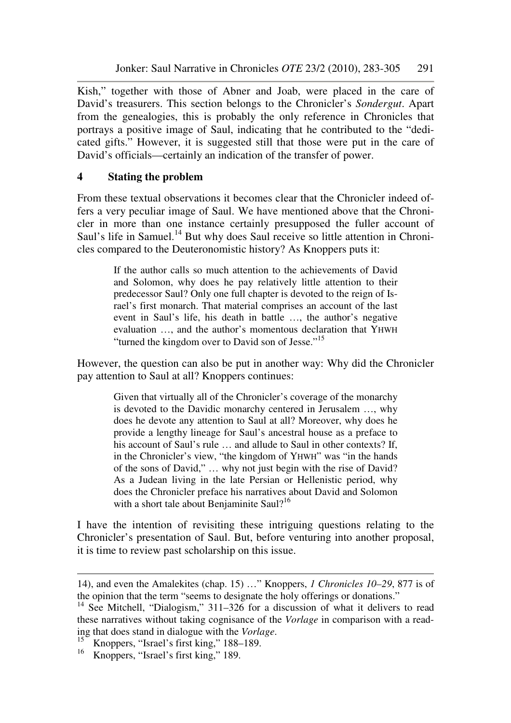Kish," together with those of Abner and Joab, were placed in the care of David's treasurers. This section belongs to the Chronicler's *Sondergut*. Apart from the genealogies, this is probably the only reference in Chronicles that portrays a positive image of Saul, indicating that he contributed to the "dedicated gifts." However, it is suggested still that those were put in the care of David's officials—certainly an indication of the transfer of power.

# **4 Stating the problem**

From these textual observations it becomes clear that the Chronicler indeed offers a very peculiar image of Saul. We have mentioned above that the Chronicler in more than one instance certainly presupposed the fuller account of Saul's life in Samuel.<sup>14</sup> But why does Saul receive so little attention in Chronicles compared to the Deuteronomistic history? As Knoppers puts it:

> If the author calls so much attention to the achievements of David and Solomon, why does he pay relatively little attention to their predecessor Saul? Only one full chapter is devoted to the reign of Israel's first monarch. That material comprises an account of the last event in Saul's life, his death in battle …, the author's negative evaluation …, and the author's momentous declaration that YHWH "turned the kingdom over to David son of Jesse."<sup>15</sup>

However, the question can also be put in another way: Why did the Chronicler pay attention to Saul at all? Knoppers continues:

Given that virtually all of the Chronicler's coverage of the monarchy is devoted to the Davidic monarchy centered in Jerusalem …, why does he devote any attention to Saul at all? Moreover, why does he provide a lengthy lineage for Saul's ancestral house as a preface to his account of Saul's rule ... and allude to Saul in other contexts? If, in the Chronicler's view, "the kingdom of YHWH" was "in the hands of the sons of David," … why not just begin with the rise of David? As a Judean living in the late Persian or Hellenistic period, why does the Chronicler preface his narratives about David and Solomon with a short tale about Benjaminite Saul?<sup>16</sup>

I have the intention of revisiting these intriguing questions relating to the Chronicler's presentation of Saul. But, before venturing into another proposal, it is time to review past scholarship on this issue.

<sup>14),</sup> and even the Amalekites (chap. 15) …" Knoppers, *1 Chronicles 10–29*, 877 is of the opinion that the term "seems to designate the holy offerings or donations."

<sup>&</sup>lt;sup>14</sup> See Mitchell, "Dialogism," 311–326 for a discussion of what it delivers to read these narratives without taking cognisance of the *Vorlage* in comparison with a reading that does stand in dialogue with the *Vorlage*.

<sup>&</sup>lt;sup>15</sup> Knoppers, "Israel's first king," 188–189.

<sup>&</sup>lt;sup>16</sup> Knoppers, "Israel's first king," 189.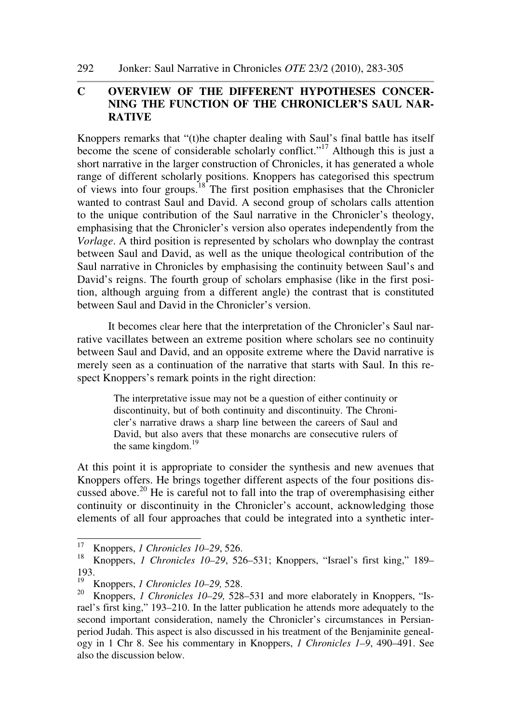292 Jonker: Saul Narrative in Chronicles *OTE* 23/2 (2010), 283-305

# **C OVERVIEW OF THE DIFFERENT HYPOTHESES CONCER-NING THE FUNCTION OF THE CHRONICLER'S SAUL NAR-RATIVE**

Knoppers remarks that "(t)he chapter dealing with Saul's final battle has itself become the scene of considerable scholarly conflict."<sup>17</sup> Although this is just a short narrative in the larger construction of Chronicles, it has generated a whole range of different scholarly positions. Knoppers has categorised this spectrum of views into four groups.<sup>18</sup> The first position emphasises that the Chronicler wanted to contrast Saul and David. A second group of scholars calls attention to the unique contribution of the Saul narrative in the Chronicler's theology, emphasising that the Chronicler's version also operates independently from the *Vorlage*. A third position is represented by scholars who downplay the contrast between Saul and David, as well as the unique theological contribution of the Saul narrative in Chronicles by emphasising the continuity between Saul's and David's reigns. The fourth group of scholars emphasise (like in the first position, although arguing from a different angle) the contrast that is constituted between Saul and David in the Chronicler's version.

It becomes clear here that the interpretation of the Chronicler's Saul narrative vacillates between an extreme position where scholars see no continuity between Saul and David, and an opposite extreme where the David narrative is merely seen as a continuation of the narrative that starts with Saul. In this respect Knoppers's remark points in the right direction:

The interpretative issue may not be a question of either continuity or discontinuity, but of both continuity and discontinuity. The Chronicler's narrative draws a sharp line between the careers of Saul and David, but also avers that these monarchs are consecutive rulers of the same kingdom.<sup>19</sup>

At this point it is appropriate to consider the synthesis and new avenues that Knoppers offers. He brings together different aspects of the four positions discussed above.<sup>20</sup> He is careful not to fall into the trap of overemphasising either continuity or discontinuity in the Chronicler's account, acknowledging those elements of all four approaches that could be integrated into a synthetic inter-

 $17\,$ <sup>17</sup> Knoppers, *1 Chronicles 10–29*, 526.

<sup>18</sup> Knoppers, *1 Chronicles 10–29*, 526–531; Knoppers, "Israel's first king," 189– 193.

<sup>&</sup>lt;sup>19</sup> Knoppers, *1 Chronicles 10–29, 528*.<br><sup>20</sup> Knoppers, *1 Chronicles* 10, 20, 528.

<sup>20</sup> Knoppers, *1 Chronicles 10–29,* 528–531 and more elaborately in Knoppers, "Israel's first king," 193–210. In the latter publication he attends more adequately to the second important consideration, namely the Chronicler's circumstances in Persianperiod Judah. This aspect is also discussed in his treatment of the Benjaminite genealogy in 1 Chr 8. See his commentary in Knoppers, *1 Chronicles 1–9*, 490–491. See also the discussion below.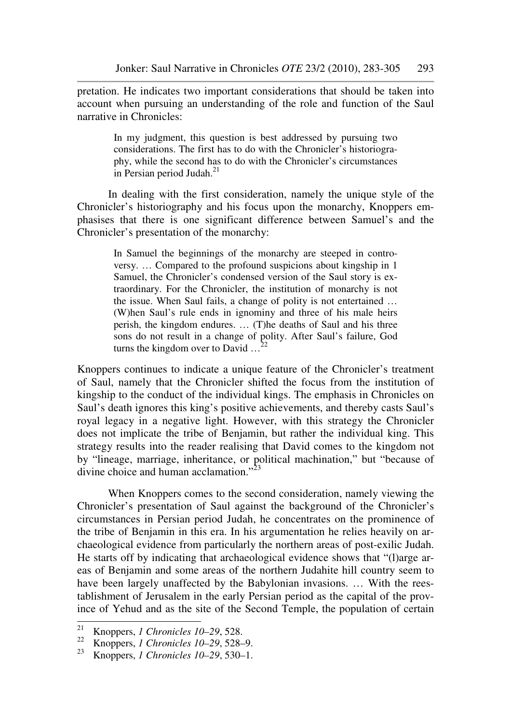pretation. He indicates two important considerations that should be taken into account when pursuing an understanding of the role and function of the Saul narrative in Chronicles:

> In my judgment, this question is best addressed by pursuing two considerations. The first has to do with the Chronicler's historiography, while the second has to do with the Chronicler's circumstances in Persian period Judah. $^{21}$

In dealing with the first consideration, namely the unique style of the Chronicler's historiography and his focus upon the monarchy, Knoppers emphasises that there is one significant difference between Samuel's and the Chronicler's presentation of the monarchy:

In Samuel the beginnings of the monarchy are steeped in controversy. … Compared to the profound suspicions about kingship in 1 Samuel, the Chronicler's condensed version of the Saul story is extraordinary. For the Chronicler, the institution of monarchy is not the issue. When Saul fails, a change of polity is not entertained … (W)hen Saul's rule ends in ignominy and three of his male heirs perish, the kingdom endures. … (T)he deaths of Saul and his three sons do not result in a change of polity. After Saul's failure, God turns the kingdom over to David  $\ldots$ <sup>2</sup>

Knoppers continues to indicate a unique feature of the Chronicler's treatment of Saul, namely that the Chronicler shifted the focus from the institution of kingship to the conduct of the individual kings. The emphasis in Chronicles on Saul's death ignores this king's positive achievements, and thereby casts Saul's royal legacy in a negative light. However, with this strategy the Chronicler does not implicate the tribe of Benjamin, but rather the individual king. This strategy results into the reader realising that David comes to the kingdom not by "lineage, marriage, inheritance, or political machination," but "because of divine choice and human acclamation."<sup>23</sup>

When Knoppers comes to the second consideration, namely viewing the Chronicler's presentation of Saul against the background of the Chronicler's circumstances in Persian period Judah, he concentrates on the prominence of the tribe of Benjamin in this era. In his argumentation he relies heavily on archaeological evidence from particularly the northern areas of post-exilic Judah. He starts off by indicating that archaeological evidence shows that "(l)arge areas of Benjamin and some areas of the northern Judahite hill country seem to have been largely unaffected by the Babylonian invasions. … With the reestablishment of Jerusalem in the early Persian period as the capital of the province of Yehud and as the site of the Second Temple, the population of certain

<sup>21</sup> <sup>21</sup> Knoppers, *1 Chronicles 10–29*, 528.

<sup>&</sup>lt;sup>22</sup> Knoppers, *1 Chronicles 10–29*, 528–9.<br><sup>23</sup> Knoppers, *1 Chronicles 10*, 20, 530, 1

<sup>23</sup> Knoppers, *1 Chronicles 10–29*, 530–1.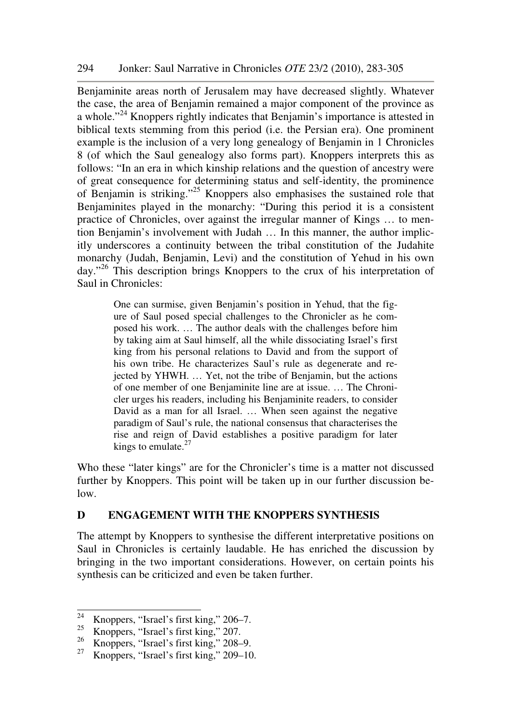Benjaminite areas north of Jerusalem may have decreased slightly. Whatever the case, the area of Benjamin remained a major component of the province as a whole."<sup>24</sup> Knoppers rightly indicates that Benjamin's importance is attested in biblical texts stemming from this period (i.e. the Persian era). One prominent example is the inclusion of a very long genealogy of Benjamin in 1 Chronicles 8 (of which the Saul genealogy also forms part). Knoppers interprets this as follows: "In an era in which kinship relations and the question of ancestry were of great consequence for determining status and self-identity, the prominence of Benjamin is striking."<sup>25</sup> Knoppers also emphasises the sustained role that Benjaminites played in the monarchy: "During this period it is a consistent practice of Chronicles, over against the irregular manner of Kings … to mention Benjamin's involvement with Judah … In this manner, the author implicitly underscores a continuity between the tribal constitution of the Judahite monarchy (Judah, Benjamin, Levi) and the constitution of Yehud in his own day."<sup>26</sup> This description brings Knoppers to the crux of his interpretation of Saul in Chronicles:

> One can surmise, given Benjamin's position in Yehud, that the figure of Saul posed special challenges to the Chronicler as he composed his work. … The author deals with the challenges before him by taking aim at Saul himself, all the while dissociating Israel's first king from his personal relations to David and from the support of his own tribe. He characterizes Saul's rule as degenerate and rejected by YHWH. … Yet, not the tribe of Benjamin, but the actions of one member of one Benjaminite line are at issue. … The Chronicler urges his readers, including his Benjaminite readers, to consider David as a man for all Israel. … When seen against the negative paradigm of Saul's rule, the national consensus that characterises the rise and reign of David establishes a positive paradigm for later kings to emulate. $27$

Who these "later kings" are for the Chronicler's time is a matter not discussed further by Knoppers. This point will be taken up in our further discussion below.

### **D ENGAGEMENT WITH THE KNOPPERS SYNTHESIS**

The attempt by Knoppers to synthesise the different interpretative positions on Saul in Chronicles is certainly laudable. He has enriched the discussion by bringing in the two important considerations. However, on certain points his synthesis can be criticized and even be taken further.

 $24$ <sup>24</sup> Knoppers, "Israel's first king," 206–7.<br><sup>25</sup> Knoppers, "Israel's first king," 207

 $\frac{25}{26}$  Knoppers, "Israel's first king," 207.<br> $\frac{26}{15}$  Knoppers, "Israel's first king," 208

 $\frac{26}{27}$  Knoppers, "Israel's first king," 208–9.<br> $\frac{27}{27}$  Knoppers, "Israel's first king," 200, 10

Knoppers, "Israel's first king," 209–10.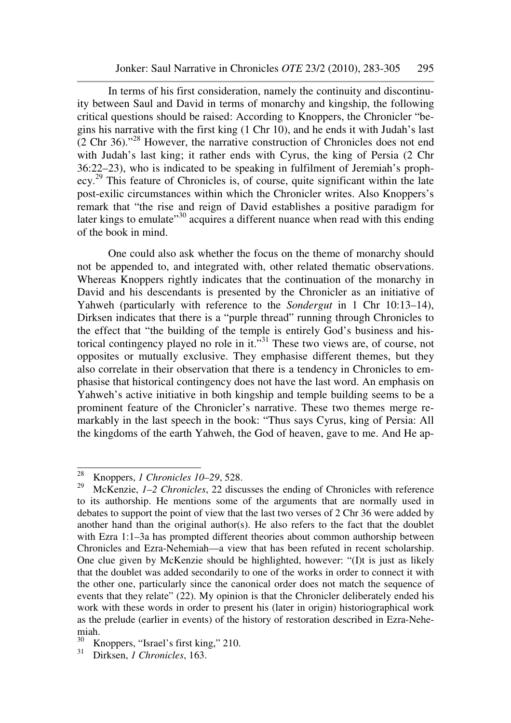In terms of his first consideration, namely the continuity and discontinuity between Saul and David in terms of monarchy and kingship, the following critical questions should be raised: According to Knoppers, the Chronicler "begins his narrative with the first king (1 Chr 10), and he ends it with Judah's last (2 Chr 36)."<sup>28</sup> However, the narrative construction of Chronicles does not end with Judah's last king; it rather ends with Cyrus, the king of Persia (2 Chr 36:22–23), who is indicated to be speaking in fulfilment of Jeremiah's prophecy.<sup>29</sup> This feature of Chronicles is, of course, quite significant within the late post-exilic circumstances within which the Chronicler writes. Also Knoppers's remark that "the rise and reign of David establishes a positive paradigm for later kings to emulate<sup> $30$ </sup> acquires a different nuance when read with this ending of the book in mind.

One could also ask whether the focus on the theme of monarchy should not be appended to, and integrated with, other related thematic observations. Whereas Knoppers rightly indicates that the continuation of the monarchy in David and his descendants is presented by the Chronicler as an initiative of Yahweh (particularly with reference to the *Sondergut* in 1 Chr 10:13–14), Dirksen indicates that there is a "purple thread" running through Chronicles to the effect that "the building of the temple is entirely God's business and historical contingency played no role in it. $\overline{N}^{31}$  These two views are, of course, not opposites or mutually exclusive. They emphasise different themes, but they also correlate in their observation that there is a tendency in Chronicles to emphasise that historical contingency does not have the last word. An emphasis on Yahweh's active initiative in both kingship and temple building seems to be a prominent feature of the Chronicler's narrative. These two themes merge remarkably in the last speech in the book: "Thus says Cyrus, king of Persia: All the kingdoms of the earth Yahweh, the God of heaven, gave to me. And He ap-

<sup>28</sup> <sup>28</sup> Knoppers, *1 Chronicles 10–29*, 528.<br><sup>29</sup> MoVenzie, *1.2 Chronicles* 22 discu

<sup>29</sup> McKenzie, *1–2 Chronicles*, 22 discusses the ending of Chronicles with reference to its authorship. He mentions some of the arguments that are normally used in debates to support the point of view that the last two verses of 2 Chr 36 were added by another hand than the original author(s). He also refers to the fact that the doublet with Ezra 1:1–3a has prompted different theories about common authorship between Chronicles and Ezra-Nehemiah—a view that has been refuted in recent scholarship. One clue given by McKenzie should be highlighted, however: "(I)t is just as likely that the doublet was added secondarily to one of the works in order to connect it with the other one, particularly since the canonical order does not match the sequence of events that they relate" (22). My opinion is that the Chronicler deliberately ended his work with these words in order to present his (later in origin) historiographical work as the prelude (earlier in events) of the history of restoration described in Ezra-Nehemiah.<br> $\frac{30}{V}$ 

Knoppers, "Israel's first king," 210.

<sup>31</sup> Dirksen, *1 Chronicles*, 163.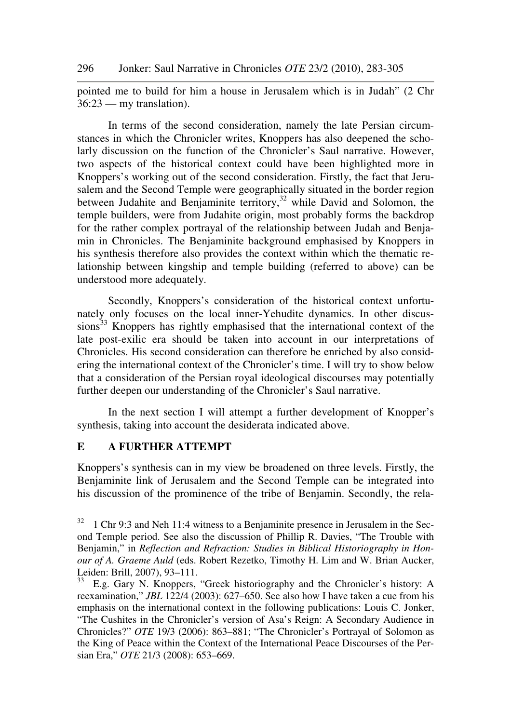pointed me to build for him a house in Jerusalem which is in Judah" (2 Chr 36:23 — my translation).

In terms of the second consideration, namely the late Persian circumstances in which the Chronicler writes, Knoppers has also deepened the scholarly discussion on the function of the Chronicler's Saul narrative. However, two aspects of the historical context could have been highlighted more in Knoppers's working out of the second consideration. Firstly, the fact that Jerusalem and the Second Temple were geographically situated in the border region between Judahite and Benjaminite territory, $32$  while David and Solomon, the temple builders, were from Judahite origin, most probably forms the backdrop for the rather complex portrayal of the relationship between Judah and Benjamin in Chronicles. The Benjaminite background emphasised by Knoppers in his synthesis therefore also provides the context within which the thematic relationship between kingship and temple building (referred to above) can be understood more adequately.

Secondly, Knoppers's consideration of the historical context unfortunately only focuses on the local inner-Yehudite dynamics. In other discussions<sup>33</sup> Knoppers has rightly emphasised that the international context of the late post-exilic era should be taken into account in our interpretations of Chronicles. His second consideration can therefore be enriched by also considering the international context of the Chronicler's time. I will try to show below that a consideration of the Persian royal ideological discourses may potentially further deepen our understanding of the Chronicler's Saul narrative.

In the next section I will attempt a further development of Knopper's synthesis, taking into account the desiderata indicated above.

#### **E A FURTHER ATTEMPT**

ı

Knoppers's synthesis can in my view be broadened on three levels. Firstly, the Benjaminite link of Jerusalem and the Second Temple can be integrated into his discussion of the prominence of the tribe of Benjamin. Secondly, the rela-

 $32 \text{ T}$  Chr 9:3 and Neh 11:4 witness to a Benjaminite presence in Jerusalem in the Second Temple period. See also the discussion of Phillip R. Davies, "The Trouble with Benjamin," in *Reflection and Refraction: Studies in Biblical Historiography in Honour of A. Graeme Auld* (eds. Robert Rezetko, Timothy H. Lim and W. Brian Aucker, Leiden: Brill, 2007), 93–111.

 $\frac{33}{33}$  E.g. Gary N. Knoppers, "Greek historiography and the Chronicler's history: A reexamination," *JBL* 122/4 (2003): 627–650. See also how I have taken a cue from his emphasis on the international context in the following publications: Louis C. Jonker, "The Cushites in the Chronicler's version of Asa's Reign: A Secondary Audience in Chronicles?" *OTE* 19/3 (2006): 863–881; "The Chronicler's Portrayal of Solomon as the King of Peace within the Context of the International Peace Discourses of the Persian Era," *OTE* 21/3 (2008): 653–669.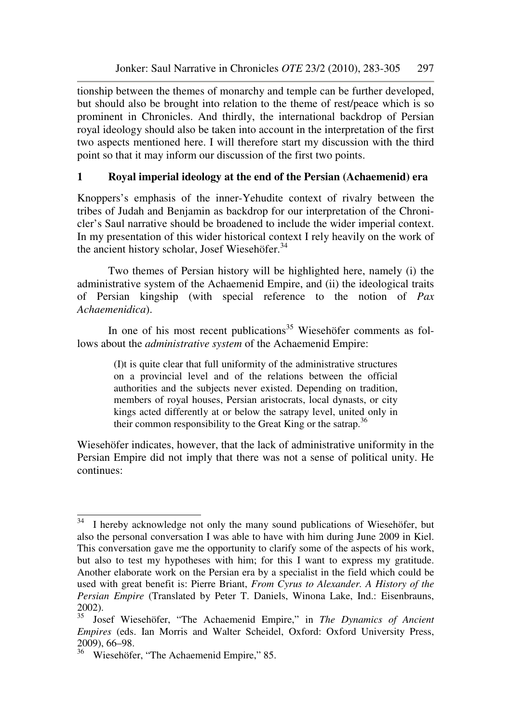tionship between the themes of monarchy and temple can be further developed, but should also be brought into relation to the theme of rest/peace which is so prominent in Chronicles. And thirdly, the international backdrop of Persian royal ideology should also be taken into account in the interpretation of the first two aspects mentioned here. I will therefore start my discussion with the third point so that it may inform our discussion of the first two points.

# **1 Royal imperial ideology at the end of the Persian (Achaemenid) era**

Knoppers's emphasis of the inner-Yehudite context of rivalry between the tribes of Judah and Benjamin as backdrop for our interpretation of the Chronicler's Saul narrative should be broadened to include the wider imperial context. In my presentation of this wider historical context I rely heavily on the work of the ancient history scholar, Josef Wiesehöfer.<sup>34</sup>

Two themes of Persian history will be highlighted here, namely (i) the administrative system of the Achaemenid Empire, and (ii) the ideological traits of Persian kingship (with special reference to the notion of *Pax Achaemenidica*).

In one of his most recent publications<sup>35</sup> Wiesehöfer comments as follows about the *administrative system* of the Achaemenid Empire:

> (I)t is quite clear that full uniformity of the administrative structures on a provincial level and of the relations between the official authorities and the subjects never existed. Depending on tradition, members of royal houses, Persian aristocrats, local dynasts, or city kings acted differently at or below the satrapy level, united only in their common responsibility to the Great King or the satrap.<sup>36</sup>

Wiesehöfer indicates, however, that the lack of administrative uniformity in the Persian Empire did not imply that there was not a sense of political unity. He continues:

ı

 $34$  I hereby acknowledge not only the many sound publications of Wiesehöfer, but also the personal conversation I was able to have with him during June 2009 in Kiel. This conversation gave me the opportunity to clarify some of the aspects of his work, but also to test my hypotheses with him; for this I want to express my gratitude. Another elaborate work on the Persian era by a specialist in the field which could be used with great benefit is: Pierre Briant, *From Cyrus to Alexander. A History of the Persian Empire* (Translated by Peter T. Daniels, Winona Lake, Ind.: Eisenbrauns, 2002).

<sup>35</sup> Josef Wiesehöfer, "The Achaemenid Empire," in *The Dynamics of Ancient Empires* (eds. Ian Morris and Walter Scheidel, Oxford: Oxford University Press, 2009), 66–98.

<sup>&</sup>lt;sup>36</sup> Wiesehöfer, "The Achaemenid Empire," 85.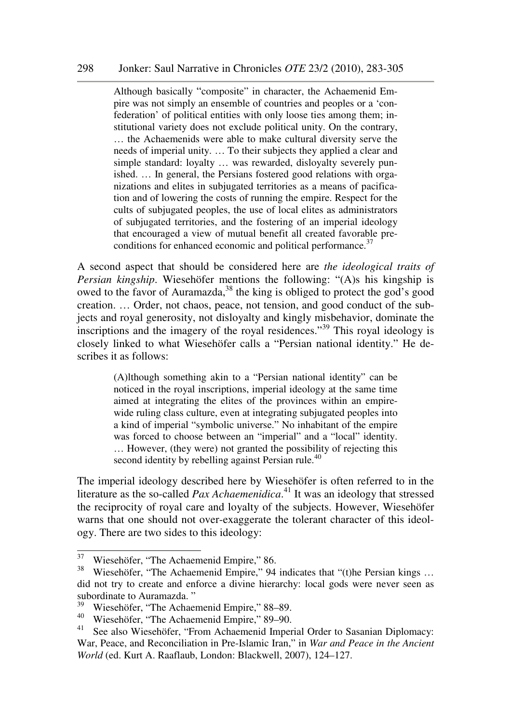#### 298 Jonker: Saul Narrative in Chronicles *OTE* 23/2 (2010), 283-305

Although basically "composite" in character, the Achaemenid Empire was not simply an ensemble of countries and peoples or a 'confederation' of political entities with only loose ties among them; institutional variety does not exclude political unity. On the contrary, … the Achaemenids were able to make cultural diversity serve the needs of imperial unity. … To their subjects they applied a clear and simple standard: loyalty … was rewarded, disloyalty severely punished. … In general, the Persians fostered good relations with organizations and elites in subjugated territories as a means of pacification and of lowering the costs of running the empire. Respect for the cults of subjugated peoples, the use of local elites as administrators of subjugated territories, and the fostering of an imperial ideology that encouraged a view of mutual benefit all created favorable preconditions for enhanced economic and political performance.<sup>37</sup>

A second aspect that should be considered here are *the ideological traits of Persian kingship*. Wiesehöfer mentions the following: "(A)s his kingship is owed to the favor of Auramazda,  $38$  the king is obliged to protect the god's good creation. … Order, not chaos, peace, not tension, and good conduct of the subjects and royal generosity, not disloyalty and kingly misbehavior, dominate the inscriptions and the imagery of the royal residences."<sup>39</sup> This royal ideology is closely linked to what Wiesehöfer calls a "Persian national identity." He describes it as follows:

> (A)lthough something akin to a "Persian national identity" can be noticed in the royal inscriptions, imperial ideology at the same time aimed at integrating the elites of the provinces within an empirewide ruling class culture, even at integrating subjugated peoples into a kind of imperial "symbolic universe." No inhabitant of the empire was forced to choose between an "imperial" and a "local" identity. … However, (they were) not granted the possibility of rejecting this second identity by rebelling against Persian rule.<sup>40</sup>

The imperial ideology described here by Wiesehöfer is often referred to in the literature as the so-called *Pax Achaemenidica*. <sup>41</sup> It was an ideology that stressed the reciprocity of royal care and loyalty of the subjects. However, Wiesehöfer warns that one should not over-exaggerate the tolerant character of this ideology. There are two sides to this ideology:

<sup>&</sup>lt;sup>37</sup> Wiesehöfer, "The Achaemenid Empire," 86.<br> $\frac{38}{12}$  Wieseböfer, "The Achaemenid Empire," 94

Wiesehöfer, "The Achaemenid Empire," 94 indicates that "(t)he Persian kings ... did not try to create and enforce a divine hierarchy: local gods were never seen as subordinate to Auramazda."<br> $39 \text{ W/2}$ 

<sup>39</sup> Wiesehöfer, "The Achaemenid Empire," 88–89.

<sup>40</sup> Wiesehöfer, "The Achaemenid Empire," 89–90.

<sup>&</sup>lt;sup>41</sup> See also Wiesehöfer, "From Achaemenid Imperial Order to Sasanian Diplomacy: War, Peace, and Reconciliation in Pre-Islamic Iran," in *War and Peace in the Ancient World* (ed. Kurt A. Raaflaub, London: Blackwell, 2007), 124–127.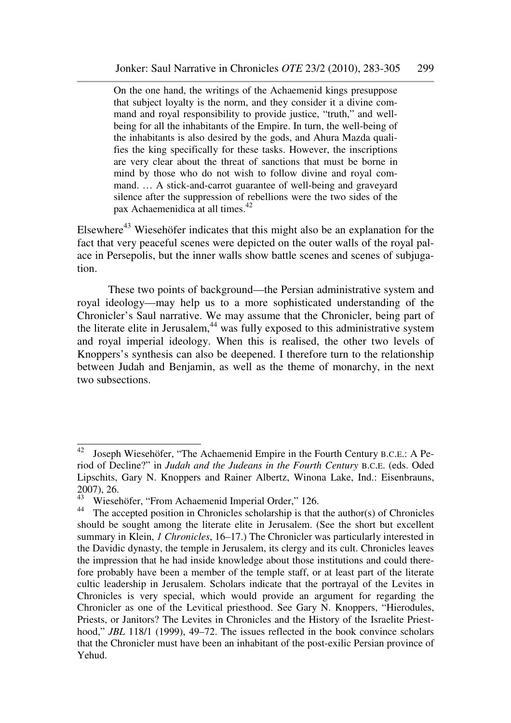On the one hand, the writings of the Achaemenid kings presuppose that subject loyalty is the norm, and they consider it a divine command and royal responsibility to provide justice, "truth," and wellbeing for all the inhabitants of the Empire. In turn, the well-being of the inhabitants is also desired by the gods, and Ahura Mazda qualifies the king specifically for these tasks. However, the inscriptions are very clear about the threat of sanctions that must be borne in mind by those who do not wish to follow divine and royal command. … A stick-and-carrot guarantee of well-being and graveyard silence after the suppression of rebellions were the two sides of the pax Achaemenidica at all times.<sup>42</sup>

Elsewhere<sup>43</sup> Wiesehöfer indicates that this might also be an explanation for the fact that very peaceful scenes were depicted on the outer walls of the royal palace in Persepolis, but the inner walls show battle scenes and scenes of subjugation.

These two points of background—the Persian administrative system and royal ideology—may help us to a more sophisticated understanding of the Chronicler's Saul narrative. We may assume that the Chronicler, being part of the literate elite in Jerusalem, $44$  was fully exposed to this administrative system and royal imperial ideology. When this is realised, the other two levels of Knoppers's synthesis can also be deepened. I therefore turn to the relationship between Judah and Benjamin, as well as the theme of monarchy, in the next two subsections.

 $42$  Joseph Wiesehöfer, "The Achaemenid Empire in the Fourth Century B.C.E.: A Period of Decline?" in *Judah and the Judeans in the Fourth Century* B.C.E. (eds. Oded Lipschits, Gary N. Knoppers and Rainer Albertz, Winona Lake, Ind.: Eisenbrauns,  $2007$ ), 26.

Wiesehöfer, "From Achaemenid Imperial Order," 126.

<sup>&</sup>lt;sup>44</sup> The accepted position in Chronicles scholarship is that the author(s) of Chronicles should be sought among the literate elite in Jerusalem. (See the short but excellent summary in Klein, *1 Chronicles*, 16–17.) The Chronicler was particularly interested in the Davidic dynasty, the temple in Jerusalem, its clergy and its cult. Chronicles leaves the impression that he had inside knowledge about those institutions and could therefore probably have been a member of the temple staff, or at least part of the literate cultic leadership in Jerusalem. Scholars indicate that the portrayal of the Levites in Chronicles is very special, which would provide an argument for regarding the Chronicler as one of the Levitical priesthood. See Gary N. Knoppers, "Hierodules, Priests, or Janitors? The Levites in Chronicles and the History of the Israelite Priesthood," *JBL* 118/1 (1999), 49–72. The issues reflected in the book convince scholars that the Chronicler must have been an inhabitant of the post-exilic Persian province of Yehud.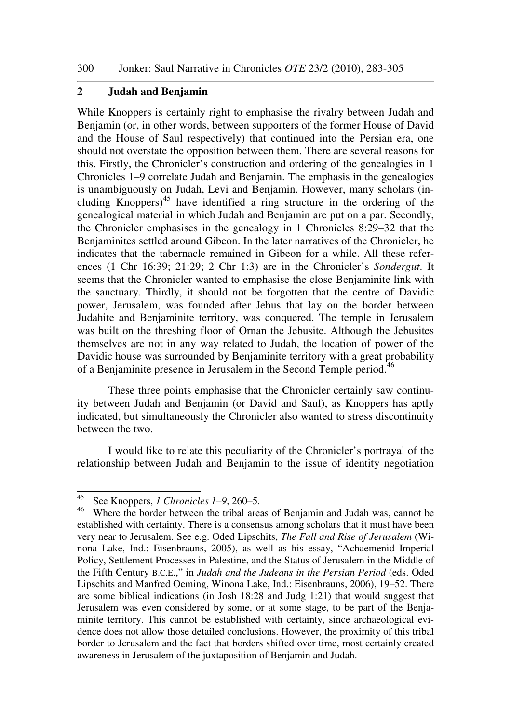### **2 Judah and Benjamin**

While Knoppers is certainly right to emphasise the rivalry between Judah and Benjamin (or, in other words, between supporters of the former House of David and the House of Saul respectively) that continued into the Persian era, one should not overstate the opposition between them. There are several reasons for this. Firstly, the Chronicler's construction and ordering of the genealogies in 1 Chronicles 1–9 correlate Judah and Benjamin. The emphasis in the genealogies is unambiguously on Judah, Levi and Benjamin. However, many scholars (including Knoppers)<sup>45</sup> have identified a ring structure in the ordering of the genealogical material in which Judah and Benjamin are put on a par. Secondly, the Chronicler emphasises in the genealogy in 1 Chronicles 8:29–32 that the Benjaminites settled around Gibeon. In the later narratives of the Chronicler, he indicates that the tabernacle remained in Gibeon for a while. All these references (1 Chr 16:39; 21:29; 2 Chr 1:3) are in the Chronicler's *Sondergut*. It seems that the Chronicler wanted to emphasise the close Benjaminite link with the sanctuary. Thirdly, it should not be forgotten that the centre of Davidic power, Jerusalem, was founded after Jebus that lay on the border between Judahite and Benjaminite territory, was conquered. The temple in Jerusalem was built on the threshing floor of Ornan the Jebusite. Although the Jebusites themselves are not in any way related to Judah, the location of power of the Davidic house was surrounded by Benjaminite territory with a great probability of a Benjaminite presence in Jerusalem in the Second Temple period.<sup>46</sup>

These three points emphasise that the Chronicler certainly saw continuity between Judah and Benjamin (or David and Saul), as Knoppers has aptly indicated, but simultaneously the Chronicler also wanted to stress discontinuity between the two.

I would like to relate this peculiarity of the Chronicler's portrayal of the relationship between Judah and Benjamin to the issue of identity negotiation

 $45$ <sup>45</sup> See Knoppers, *1 Chronicles 1–9*, 260–5.

<sup>&</sup>lt;sup>46</sup> Where the border between the tribal areas of Benjamin and Judah was, cannot be established with certainty. There is a consensus among scholars that it must have been very near to Jerusalem. See e.g. Oded Lipschits, *The Fall and Rise of Jerusalem* (Winona Lake, Ind.: Eisenbrauns, 2005), as well as his essay, "Achaemenid Imperial Policy, Settlement Processes in Palestine, and the Status of Jerusalem in the Middle of the Fifth Century B.C.E.," in *Judah and the Judeans in the Persian Period* (eds. Oded Lipschits and Manfred Oeming, Winona Lake, Ind.: Eisenbrauns, 2006), 19–52. There are some biblical indications (in Josh 18:28 and Judg 1:21) that would suggest that Jerusalem was even considered by some, or at some stage, to be part of the Benjaminite territory. This cannot be established with certainty, since archaeological evidence does not allow those detailed conclusions. However, the proximity of this tribal border to Jerusalem and the fact that borders shifted over time, most certainly created awareness in Jerusalem of the juxtaposition of Benjamin and Judah.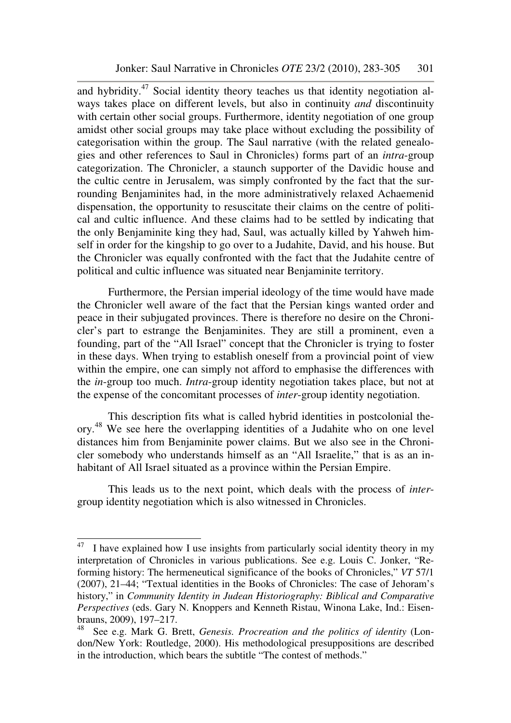and hybridity. $47$  Social identity theory teaches us that identity negotiation always takes place on different levels, but also in continuity *and* discontinuity with certain other social groups. Furthermore, identity negotiation of one group amidst other social groups may take place without excluding the possibility of categorisation within the group. The Saul narrative (with the related genealogies and other references to Saul in Chronicles) forms part of an *intra*-group categorization. The Chronicler, a staunch supporter of the Davidic house and the cultic centre in Jerusalem, was simply confronted by the fact that the surrounding Benjaminites had, in the more administratively relaxed Achaemenid dispensation, the opportunity to resuscitate their claims on the centre of political and cultic influence. And these claims had to be settled by indicating that the only Benjaminite king they had, Saul, was actually killed by Yahweh himself in order for the kingship to go over to a Judahite, David, and his house. But the Chronicler was equally confronted with the fact that the Judahite centre of political and cultic influence was situated near Benjaminite territory.

Furthermore, the Persian imperial ideology of the time would have made the Chronicler well aware of the fact that the Persian kings wanted order and peace in their subjugated provinces. There is therefore no desire on the Chronicler's part to estrange the Benjaminites. They are still a prominent, even a founding, part of the "All Israel" concept that the Chronicler is trying to foster in these days. When trying to establish oneself from a provincial point of view within the empire, one can simply not afford to emphasise the differences with the *in*-group too much. *Intra*-group identity negotiation takes place, but not at the expense of the concomitant processes of *inter*-group identity negotiation.

This description fits what is called hybrid identities in postcolonial theory.<sup>48</sup> We see here the overlapping identities of a Judahite who on one level distances him from Benjaminite power claims. But we also see in the Chronicler somebody who understands himself as an "All Israelite," that is as an inhabitant of All Israel situated as a province within the Persian Empire.

This leads us to the next point, which deals with the process of *inter*group identity negotiation which is also witnessed in Chronicles.

 $47$  I have explained how I use insights from particularly social identity theory in my interpretation of Chronicles in various publications. See e.g. Louis C. Jonker, "Reforming history: The hermeneutical significance of the books of Chronicles," *VT* 57/1 (2007), 21–44; "Textual identities in the Books of Chronicles: The case of Jehoram's history," in *Community Identity in Judean Historiography: Biblical and Comparative Perspectives* (eds. Gary N. Knoppers and Kenneth Ristau, Winona Lake, Ind.: Eisenbrauns, 2009), 197–217.<br><sup>48</sup> See e.g. Mark G. B.

<sup>48</sup> See e.g. Mark G. Brett, *Genesis. Procreation and the politics of identity* (London/New York: Routledge, 2000). His methodological presuppositions are described in the introduction, which bears the subtitle "The contest of methods."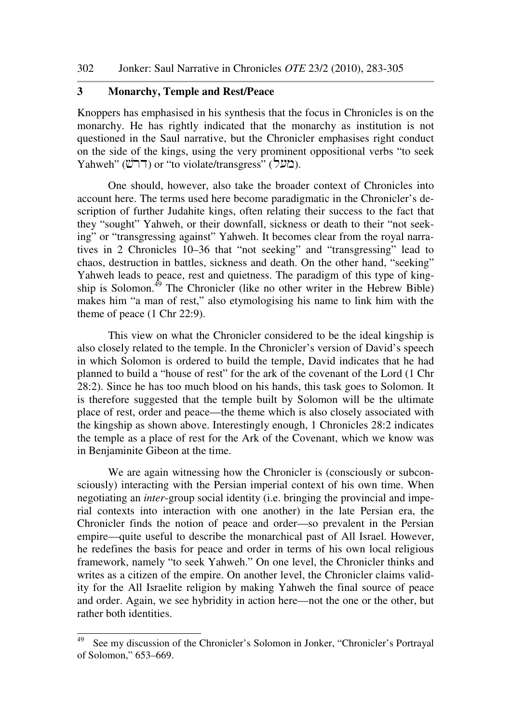# **3 Monarchy, Temple and Rest/Peace**

Knoppers has emphasised in his synthesis that the focus in Chronicles is on the monarchy. He has rightly indicated that the monarchy as institution is not questioned in the Saul narrative, but the Chronicler emphasises right conduct on the side of the kings, using the very prominent oppositional verbs "to seek Yahweh" (בועל) or "to violate/transgress" (בועל).

One should, however, also take the broader context of Chronicles into account here. The terms used here become paradigmatic in the Chronicler's description of further Judahite kings, often relating their success to the fact that they "sought" Yahweh, or their downfall, sickness or death to their "not seeking" or "transgressing against" Yahweh. It becomes clear from the royal narratives in 2 Chronicles 10–36 that "not seeking" and "transgressing" lead to chaos, destruction in battles, sickness and death. On the other hand, "seeking" Yahweh leads to peace, rest and quietness. The paradigm of this type of kingship is Solomon.<sup>49</sup> The Chronicler (like no other writer in the Hebrew Bible) makes him "a man of rest," also etymologising his name to link him with the theme of peace (1 Chr 22:9).

This view on what the Chronicler considered to be the ideal kingship is also closely related to the temple. In the Chronicler's version of David's speech in which Solomon is ordered to build the temple, David indicates that he had planned to build a "house of rest" for the ark of the covenant of the Lord (1 Chr 28:2). Since he has too much blood on his hands, this task goes to Solomon. It is therefore suggested that the temple built by Solomon will be the ultimate place of rest, order and peace—the theme which is also closely associated with the kingship as shown above. Interestingly enough, 1 Chronicles 28:2 indicates the temple as a place of rest for the Ark of the Covenant, which we know was in Benjaminite Gibeon at the time.

We are again witnessing how the Chronicler is (consciously or subconsciously) interacting with the Persian imperial context of his own time. When negotiating an *inter*-group social identity (i.e. bringing the provincial and imperial contexts into interaction with one another) in the late Persian era, the Chronicler finds the notion of peace and order—so prevalent in the Persian empire—quite useful to describe the monarchical past of All Israel. However, he redefines the basis for peace and order in terms of his own local religious framework, namely "to seek Yahweh." On one level, the Chronicler thinks and writes as a citizen of the empire. On another level, the Chronicler claims validity for the All Israelite religion by making Yahweh the final source of peace and order. Again, we see hybridity in action here—not the one or the other, but rather both identities.

<sup>49</sup> See my discussion of the Chronicler's Solomon in Jonker, "Chronicler's Portrayal of Solomon," 653–669.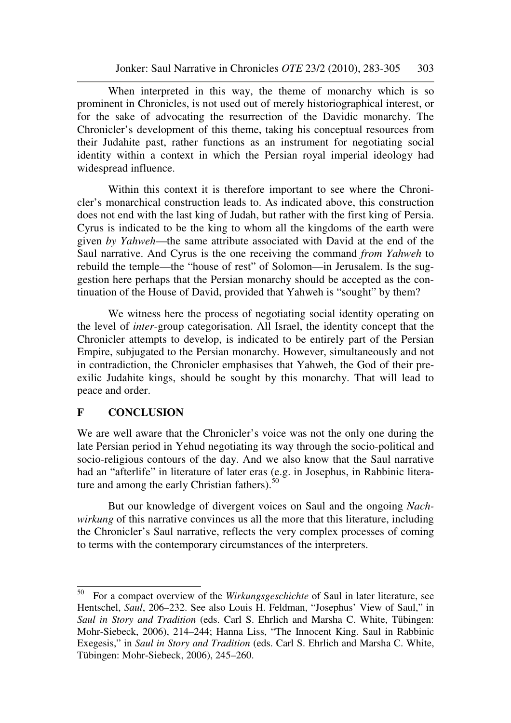When interpreted in this way, the theme of monarchy which is so prominent in Chronicles, is not used out of merely historiographical interest, or for the sake of advocating the resurrection of the Davidic monarchy. The Chronicler's development of this theme, taking his conceptual resources from their Judahite past, rather functions as an instrument for negotiating social identity within a context in which the Persian royal imperial ideology had widespread influence.

Within this context it is therefore important to see where the Chronicler's monarchical construction leads to. As indicated above, this construction does not end with the last king of Judah, but rather with the first king of Persia. Cyrus is indicated to be the king to whom all the kingdoms of the earth were given *by Yahweh*—the same attribute associated with David at the end of the Saul narrative. And Cyrus is the one receiving the command *from Yahweh* to rebuild the temple—the "house of rest" of Solomon—in Jerusalem. Is the suggestion here perhaps that the Persian monarchy should be accepted as the continuation of the House of David, provided that Yahweh is "sought" by them?

We witness here the process of negotiating social identity operating on the level of *inter*-group categorisation. All Israel, the identity concept that the Chronicler attempts to develop, is indicated to be entirely part of the Persian Empire, subjugated to the Persian monarchy. However, simultaneously and not in contradiction, the Chronicler emphasises that Yahweh, the God of their preexilic Judahite kings, should be sought by this monarchy. That will lead to peace and order.

# **F CONCLUSION**

We are well aware that the Chronicler's voice was not the only one during the late Persian period in Yehud negotiating its way through the socio-political and socio-religious contours of the day. And we also know that the Saul narrative had an "afterlife" in literature of later eras (e.g. in Josephus, in Rabbinic literature and among the early Christian fathers). $50$ 

But our knowledge of divergent voices on Saul and the ongoing *Nachwirkung* of this narrative convinces us all the more that this literature, including the Chronicler's Saul narrative, reflects the very complex processes of coming to terms with the contemporary circumstances of the interpreters.

<sup>50</sup> <sup>50</sup> For a compact overview of the *Wirkungsgeschichte* of Saul in later literature, see Hentschel, *Saul*, 206–232. See also Louis H. Feldman, "Josephus' View of Saul," in *Saul in Story and Tradition* (eds. Carl S. Ehrlich and Marsha C. White, Tübingen: Mohr-Siebeck, 2006), 214–244; Hanna Liss, "The Innocent King. Saul in Rabbinic Exegesis," in *Saul in Story and Tradition* (eds. Carl S. Ehrlich and Marsha C. White, Tübingen: Mohr-Siebeck, 2006), 245–260.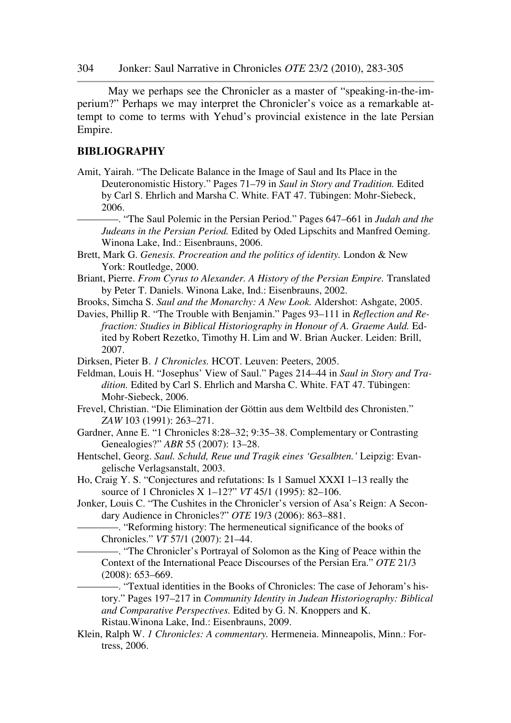May we perhaps see the Chronicler as a master of "speaking-in-the-imperium?" Perhaps we may interpret the Chronicler's voice as a remarkable attempt to come to terms with Yehud's provincial existence in the late Persian Empire.

#### **BIBLIOGRAPHY**

Amit, Yairah. "The Delicate Balance in the Image of Saul and Its Place in the Deuteronomistic History." Pages 71–79 in *Saul in Story and Tradition.* Edited by Carl S. Ehrlich and Marsha C. White. FAT 47. Tübingen: Mohr-Siebeck, 2006.

————. "The Saul Polemic in the Persian Period." Pages 647–661 in *Judah and the Judeans in the Persian Period.* Edited by Oded Lipschits and Manfred Oeming. Winona Lake, Ind.: Eisenbrauns, 2006.

- Brett, Mark G. *Genesis. Procreation and the politics of identity.* London & New York: Routledge, 2000.
- Briant, Pierre. *From Cyrus to Alexander. A History of the Persian Empire.* Translated by Peter T. Daniels. Winona Lake, Ind.: Eisenbrauns, 2002.
- Brooks, Simcha S. *Saul and the Monarchy: A New Look.* Aldershot: Ashgate, 2005.
- Davies, Phillip R. "The Trouble with Benjamin." Pages 93–111 in *Reflection and Refraction: Studies in Biblical Historiography in Honour of A. Graeme Auld.* Edited by Robert Rezetko, Timothy H. Lim and W. Brian Aucker. Leiden: Brill, 2007.

Dirksen, Pieter B. *1 Chronicles.* HCOT. Leuven: Peeters, 2005.

- Feldman, Louis H. "Josephus' View of Saul." Pages 214–44 in *Saul in Story and Tradition.* Edited by Carl S. Ehrlich and Marsha C. White. FAT 47. Tübingen: Mohr-Siebeck, 2006.
- Frevel, Christian. "Die Elimination der Göttin aus dem Weltbild des Chronisten." *ZAW* 103 (1991): 263–271.
- Gardner, Anne E. "1 Chronicles 8:28–32; 9:35–38. Complementary or Contrasting Genealogies?" *ABR* 55 (2007): 13–28.
- Hentschel, Georg. *Saul. Schuld, Reue und Tragik eines 'Gesalbten.'* Leipzig: Evangelische Verlagsanstalt, 2003.
- Ho, Craig Y. S. "Conjectures and refutations: Is 1 Samuel XXXI 1–13 really the source of 1 Chronicles X 1–12?" *VT* 45/1 (1995): 82–106.
- Jonker, Louis C. "The Cushites in the Chronicler's version of Asa's Reign: A Secondary Audience in Chronicles?" *OTE* 19/3 (2006): 863–881.
	- ————. "Reforming history: The hermeneutical significance of the books of Chronicles." *VT* 57/1 (2007): 21–44.
		- ————. "The Chronicler's Portrayal of Solomon as the King of Peace within the Context of the International Peace Discourses of the Persian Era." *OTE* 21/3 (2008): 653–669.

————. "Textual identities in the Books of Chronicles: The case of Jehoram's history." Pages 197–217 in *Community Identity in Judean Historiography: Biblical and Comparative Perspectives.* Edited by G. N. Knoppers and K. Ristau.Winona Lake, Ind.: Eisenbrauns, 2009.

Klein, Ralph W. *1 Chronicles: A commentary.* Hermeneia. Minneapolis, Minn.: Fortress, 2006.